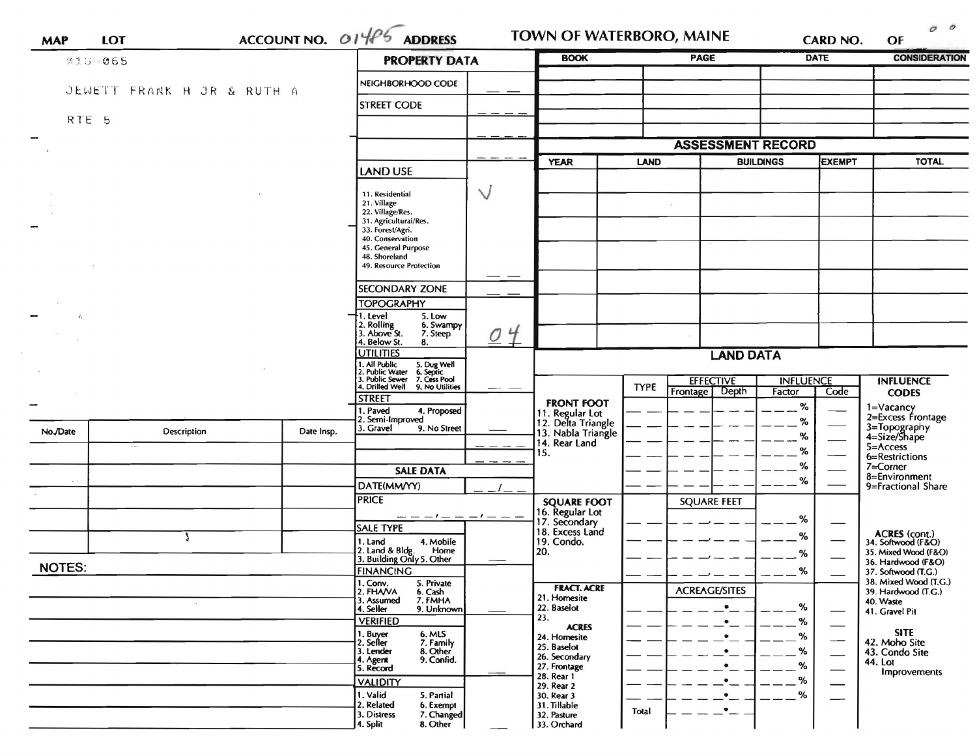| 013-065          |                            | ACCOUNTNO. O14P5 | <b>PROPERTY DATA</b>                                                                                                                  |                | <b>BOOK</b>                           |             | <b>PAGE</b>              | <b>DATE</b>                       |                                    | <b>CONSIDERATION</b>                                        |
|------------------|----------------------------|------------------|---------------------------------------------------------------------------------------------------------------------------------------|----------------|---------------------------------------|-------------|--------------------------|-----------------------------------|------------------------------------|-------------------------------------------------------------|
|                  |                            |                  | NEIGHBORHOOD CODE                                                                                                                     |                |                                       |             |                          |                                   |                                    |                                                             |
|                  | JEWETT FRANK H JR & RUTH A |                  | <b>STREET CODE</b>                                                                                                                    |                |                                       |             |                          |                                   |                                    |                                                             |
| RTE <sub>5</sub> |                            |                  |                                                                                                                                       |                |                                       |             |                          |                                   |                                    |                                                             |
|                  |                            |                  |                                                                                                                                       |                |                                       |             | <b>ASSESSMENT RECORD</b> |                                   |                                    |                                                             |
|                  |                            |                  |                                                                                                                                       |                | <b>YEAR</b>                           | <b>LAND</b> |                          | <b>EXEMPT</b><br><b>BUILDINGS</b> |                                    | <b>TOTAL</b>                                                |
|                  |                            |                  | <b>LAND USE</b>                                                                                                                       |                |                                       |             |                          |                                   |                                    |                                                             |
|                  |                            |                  | 11. Residential                                                                                                                       | $\vee$         |                                       |             |                          |                                   |                                    |                                                             |
|                  |                            |                  | 21. Village<br>22. Village/Res.                                                                                                       |                |                                       |             |                          |                                   |                                    |                                                             |
|                  |                            |                  | 31. Agricultural/Res.<br>33. Forest/Agri.                                                                                             |                |                                       |             |                          |                                   |                                    |                                                             |
|                  |                            |                  | 40. Conservation<br>45. General Purpose<br>48. Shoreland                                                                              |                |                                       |             |                          |                                   |                                    |                                                             |
|                  |                            |                  | 49. Resource Protection                                                                                                               |                |                                       |             |                          |                                   |                                    |                                                             |
|                  |                            |                  | <b>SECONDARY ZONE</b>                                                                                                                 |                |                                       |             |                          |                                   |                                    |                                                             |
|                  |                            |                  | <b>TOPOGRAPHY</b>                                                                                                                     |                |                                       |             |                          |                                   |                                    |                                                             |
|                  |                            |                  | 1. Level<br>5. Low<br>2. Rolling<br>3. Above St.<br>6. Swampy                                                                         |                |                                       |             |                          |                                   |                                    |                                                             |
|                  |                            |                  | 7. Steep<br>4. Below St.<br>8.                                                                                                        | O <sub>4</sub> |                                       |             |                          |                                   |                                    |                                                             |
|                  |                            |                  | <b>UTILITIES</b><br>1. All Public                                                                                                     |                |                                       |             | <b>LAND DATA</b>         |                                   |                                    |                                                             |
|                  |                            |                  | 5. Dug Well<br>6. Septic<br>7. Cess Pool<br>2. Public Water<br>3. Public Sewer<br>4. Drilled Well<br>9. No Utilities<br><b>STREET</b> |                |                                       | <b>TYPE</b> | <b>EFFECTIVE</b>         | <b>INFLUENCE</b>                  |                                    | <b>INFLUENCE</b>                                            |
|                  |                            |                  |                                                                                                                                       |                | <b>FRONT FOOT</b>                     |             | Frontage Depth           | Factor                            | Code                               | <b>CODES</b>                                                |
|                  |                            |                  | 1. Paved<br>4. Proposed<br>2. Semi-Improved                                                                                           |                | 11. Regular Lot<br>12. Delta Triangle |             |                          | %<br>%                            |                                    | 1=Vacancy<br>2=Excess Frontage                              |
| No./Date         | <b>Description</b>         | Date Insp.       | 3. Gravel<br>9. No Street                                                                                                             |                | 13. Nabla Triangle<br>14. Rear Land   |             |                          | ℅                                 |                                    | 3=Topography<br>4=Size/Shape                                |
|                  |                            |                  |                                                                                                                                       |                | 15.                                   |             |                          | ℅                                 |                                    | $5 =$ Access<br>6=Restrictions                              |
|                  |                            |                  | <b>SALE DATA</b>                                                                                                                      |                |                                       |             |                          | ℅                                 |                                    | 7=Corner<br>8=Environment                                   |
| $\sim$ $\sim$    |                            |                  | DATE(MM/YY)                                                                                                                           |                |                                       |             |                          | %                                 |                                    | 9=Fractional Share                                          |
|                  |                            |                  | <b>PRICE</b><br>--- -                                                                                                                 |                | <b>SQUARE FOOT</b><br>16. Regular Lot |             | <b>SQUARE FEET</b>       |                                   |                                    |                                                             |
|                  |                            |                  | <b>SALE TYPE</b>                                                                                                                      |                | 17. Secondary<br>18. Excess Land      |             |                          | %                                 |                                    |                                                             |
|                  | ۹ź                         |                  | 1. Land 4. Mobile<br>2. Land & Bldg. Home<br>3. Building Only 5. Other<br>4. Mobile<br>Home                                           |                | 19. Condo.<br>20.                     |             |                          | %<br>%                            |                                    | ACRES (cont.)<br>34. Softwood (F&O)<br>35. Mixed Wood (F&O) |
| <b>NOTES:</b>    |                            |                  | <b>FINANCING</b>                                                                                                                      |                |                                       |             |                          | $\alpha$                          |                                    | 36. Hardwood (F&O)<br>37. Softwood (T.G.)                   |
|                  |                            |                  | 1. Conv.<br>5. Private                                                                                                                |                | <b>FRACT. ACRE</b>                    |             | <b>ACREAGE/SITES</b>     |                                   |                                    | 38. Mixed Wood (T.G.)                                       |
|                  |                            |                  | 2. FHAVA<br>6. Cash<br>7. FMHA<br>3. Assumed<br>9. Unknown<br>4. Seller                                                               |                | 21. Homesite<br>22. Baselot           |             | $\bullet$                | %                                 |                                    | 39. Hardwood (T.G.)<br>40. Waste                            |
|                  |                            |                  | <b>VERIFIED</b>                                                                                                                       |                | 23.<br><b>ACRES</b>                   |             | $\bullet$                | %                                 | $\overline{\phantom{iiiiiiiiiii}}$ | 41. Gravel Pit                                              |
|                  |                            |                  | 6. MLS<br>1. Buyer<br>2. Seller<br>7. Family                                                                                          |                | 24. Homesite<br>25. Baselot           |             | $\bullet$                | %                                 | $\overbrace{\hspace{25mm}}^{}$     | <b>SITE</b><br>42. Moho Site                                |
|                  |                            |                  | 8. Other<br>3. Lender<br>9. Confid.<br>4. Agent                                                                                       |                | 26. Secondary                         |             | $\bullet$<br>$\bullet$   | %                                 |                                    | 43. Condo Site<br>44. Lot                                   |
|                  |                            |                  | 5. Record<br><b>VALIDITY</b>                                                                                                          |                | 27. Frontage<br>28. Rear 1            |             | ٠                        | %<br>%                            | $\hspace{0.1mm}-\hspace{0.1mm}$    | Improvements                                                |
|                  |                            |                  | 1. Valid<br>5. Partial                                                                                                                |                | 29. Rear 2<br>30. Rear 3              |             | ٠                        | %                                 | $\qquad \qquad$                    |                                                             |
|                  |                            |                  | 2. Related<br>6. Exempt<br>7. Changed<br>3. Distress                                                                                  |                | 31. Tillable<br>32. Pasture           | Total       | $\bullet$                |                                   |                                    |                                                             |